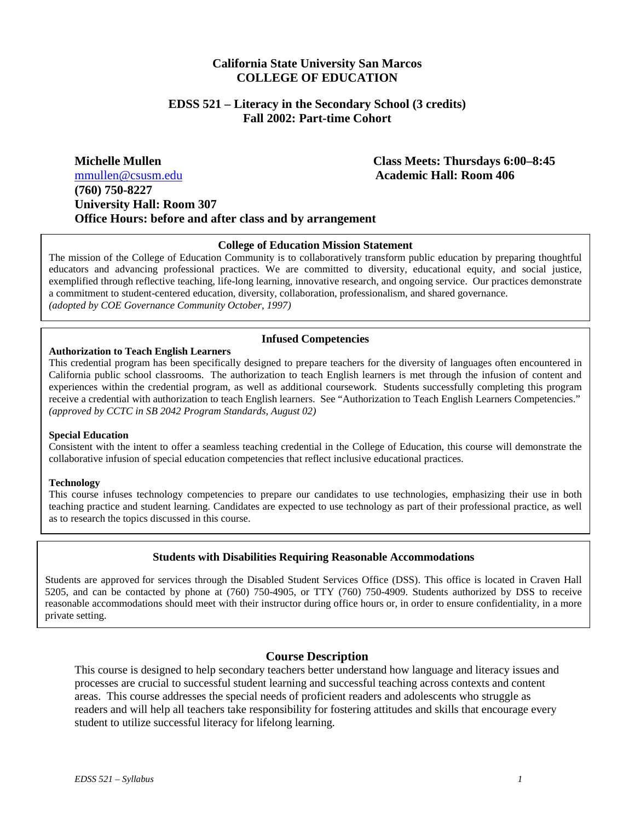# **California State University San Marcos COLLEGE OF EDUCATION**

#### **EDSS 521 – Literacy in the Secondary School (3 credits) Fall 2002: Part-time Cohort**

## **Michelle Mullen Class Meets: Thursdays 6:00–8:45**  [mmullen@csusm.edu](mailto:mmullen@mailhost1.csusm.edu) **Academic Hall: Room 406 (760) 750-8227 University Hall: Room 307 Office Hours: before and after class and by arrangement**

#### **College of Education Mission Statement**

The mission of the College of Education Community is to collaboratively transform public education by preparing thoughtful educators and advancing professional practices. We are committed to diversity, educational equity, and social justice, exemplified through reflective teaching, life-long learning, innovative research, and ongoing service. Our practices demonstrate a commitment to student-centered education, diversity, collaboration, professionalism, and shared governance. *(adopted by COE Governance Community October, 1997)*

#### **Infused Competencies**

#### **Authorization to Teach English Learners**

This credential program has been specifically designed to prepare teachers for the diversity of languages often encountered in California public school classrooms. The authorization to teach English learners is met through the infusion of content and experiences within the credential program, as well as additional coursework. Students successfully completing this program receive a credential with authorization to teach English learners. See "Authorization to Teach English Learners Competencies." *(approved by CCTC in SB 2042 Program Standards, August 02)* 

#### **Special Education**

Consistent with the intent to offer a seamless teaching credential in the College of Education, this course will demonstrate the collaborative infusion of special education competencies that reflect inclusive educational practices.

#### **Technology**

This course infuses technology competencies to prepare our candidates to use technologies, emphasizing their use in both teaching practice and student learning. Candidates are expected to use technology as part of their professional practice, as well as to research the topics discussed in this course.

#### **Students with Disabilities Requiring Reasonable Accommodations**

Students are approved for services through the Disabled Student Services Office (DSS). This office is located in Craven Hall 5205, and can be contacted by phone at (760) 750-4905, or TTY (760) 750-4909. Students authorized by DSS to receive reasonable accommodations should meet with their instructor during office hours or, in order to ensure confidentiality, in a more private setting.

#### **Course Description**

This course is designed to help secondary teachers better understand how language and literacy issues and processes are crucial to successful student learning and successful teaching across contexts and content areas. This course addresses the special needs of proficient readers and adolescents who struggle as readers and will help all teachers take responsibility for fostering attitudes and skills that encourage every student to utilize successful literacy for lifelong learning.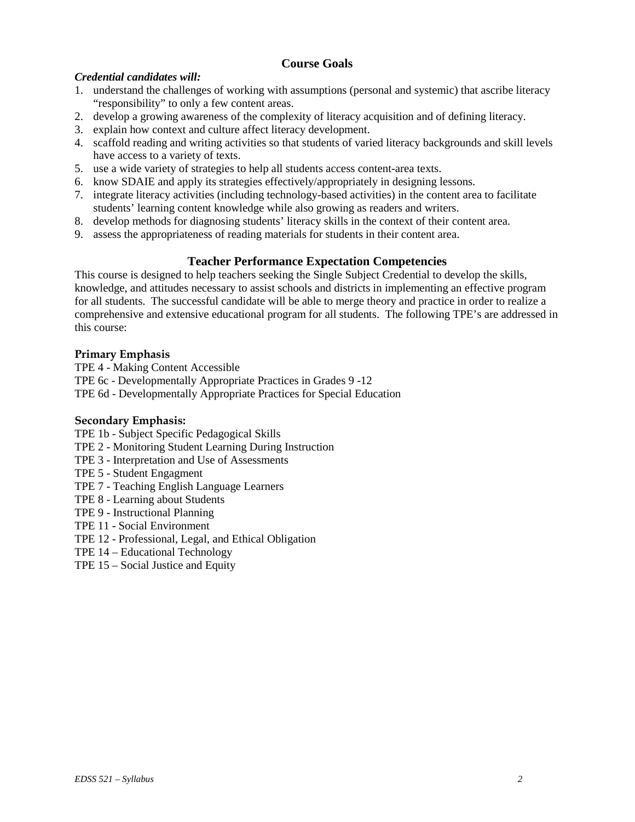# **Course Goals**

## *Credential candidates will:*

- 1. understand the challenges of working with assumptions (personal and systemic) that ascribe literacy "responsibility" to only a few content areas.
- 2. develop a growing awareness of the complexity of literacy acquisition and of defining literacy.
- 3. explain how context and culture affect literacy development.
- 4. scaffold reading and writing activities so that students of varied literacy backgrounds and skill levels have access to a variety of texts.
- 5. use a wide variety of strategies to help all students access content-area texts.
- 6. know SDAIE and apply its strategies effectively/appropriately in designing lessons.
- 7. integrate literacy activities (including technology-based activities) in the content area to facilitate students' learning content knowledge while also growing as readers and writers.
- 8. develop methods for diagnosing students' literacy skills in the context of their content area.
- 9. assess the appropriateness of reading materials for students in their content area.

## **Teacher Performance Expectation Competencies**

This course is designed to help teachers seeking the Single Subject Credential to develop the skills, knowledge, and attitudes necessary to assist schools and districts in implementing an effective program for all students. The successful candidate will be able to merge theory and practice in order to realize a comprehensive and extensive educational program for all students. The following TPE's are addressed in this course:

## **Primary Emphasis**

TPE 4 - Making Content Accessible TPE 6c - Developmentally Appropriate Practices in Grades 9 -12 TPE 6d - Developmentally Appropriate Practices for Special Education

#### **Secondary Emphasis:**

TPE 1b - Subject Specific Pedagogical Skills

- TPE 2 Monitoring Student Learning During Instruction
- TPE 3 Interpretation and Use of Assessments
- TPE 5 Student Engagment
- TPE 7 Teaching English Language Learners
- TPE 8 Learning about Students
- TPE 9 Instructional Planning
- TPE 11 Social Environment
- TPE 12 Professional, Legal, and Ethical Obligation
- TPE 14 Educational Technology
- TPE 15 Social Justice and Equity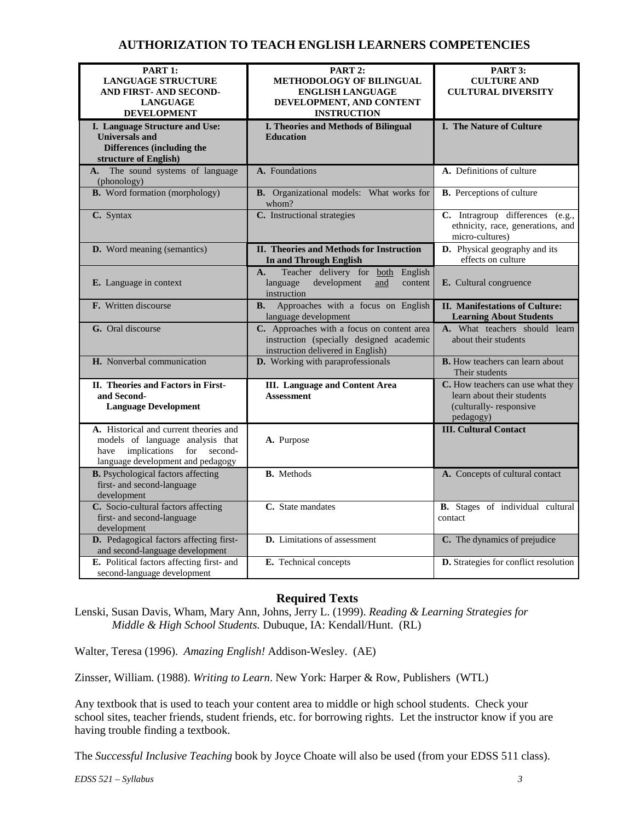# **AUTHORIZATION TO TEACH ENGLISH LEARNERS COMPETENCIES**

| PART 1:                                                                                                                                                | PART 2:                                                                                                                     | PART 3:                                                                                                |  |
|--------------------------------------------------------------------------------------------------------------------------------------------------------|-----------------------------------------------------------------------------------------------------------------------------|--------------------------------------------------------------------------------------------------------|--|
| <b>LANGUAGE STRUCTURE</b>                                                                                                                              | <b>METHODOLOGY OF BILINGUAL</b>                                                                                             | <b>CULTURE AND</b>                                                                                     |  |
| AND FIRST- AND SECOND-                                                                                                                                 | <b>ENGLISH LANGUAGE</b>                                                                                                     | <b>CULTURAL DIVERSITY</b>                                                                              |  |
| <b>LANGUAGE</b>                                                                                                                                        | DEVELOPMENT, AND CONTENT                                                                                                    |                                                                                                        |  |
| <b>DEVELOPMENT</b>                                                                                                                                     | <b>INSTRUCTION</b>                                                                                                          |                                                                                                        |  |
| I. Language Structure and Use:                                                                                                                         | <b>I. Theories and Methods of Bilingual</b>                                                                                 | <b>I. The Nature of Culture</b>                                                                        |  |
| <b>Universals</b> and                                                                                                                                  | <b>Education</b>                                                                                                            |                                                                                                        |  |
| Differences (including the                                                                                                                             |                                                                                                                             |                                                                                                        |  |
| structure of English)                                                                                                                                  |                                                                                                                             |                                                                                                        |  |
| A. The sound systems of language<br>(phonology)                                                                                                        | A. Foundations                                                                                                              | A. Definitions of culture                                                                              |  |
| <b>B.</b> Word formation (morphology)                                                                                                                  | B. Organizational models: What works for<br>whom?                                                                           | <b>B.</b> Perceptions of culture                                                                       |  |
| C. Syntax                                                                                                                                              | C. Instructional strategies                                                                                                 | C. Intragroup differences (e.g.,<br>ethnicity, race, generations, and<br>micro-cultures)               |  |
| D. Word meaning (semantics)                                                                                                                            | II. Theories and Methods for Instruction<br><b>In and Through English</b>                                                   | D. Physical geography and its<br>effects on culture                                                    |  |
|                                                                                                                                                        | Teacher delivery for both English<br>A.                                                                                     |                                                                                                        |  |
| E. Language in context                                                                                                                                 | language<br>development<br>and<br>content<br>instruction                                                                    | E. Cultural congruence                                                                                 |  |
| <b>F.</b> Written discourse                                                                                                                            | Approaches with a focus on English<br><b>B.</b><br>language development                                                     | <b>II. Manifestations of Culture:</b><br><b>Learning About Students</b>                                |  |
| G. Oral discourse                                                                                                                                      | C. Approaches with a focus on content area<br>instruction (specially designed academic<br>instruction delivered in English) | A. What teachers should learn<br>about their students                                                  |  |
| H. Nonverbal communication                                                                                                                             | D. Working with paraprofessionals                                                                                           | <b>B.</b> How teachers can learn about<br>Their students                                               |  |
| II. Theories and Factors in First-<br>and Second-<br><b>Language Development</b>                                                                       | <b>III.</b> Language and Content Area<br><b>Assessment</b>                                                                  | C. How teachers can use what they<br>learn about their students<br>(culturally-responsive<br>pedagogy) |  |
| A. Historical and current theories and<br>models of language analysis that<br>implications<br>for second-<br>have<br>language development and pedagogy | A. Purpose                                                                                                                  | <b>III. Cultural Contact</b>                                                                           |  |
| <b>B.</b> Psychological factors affecting<br>first- and second-language<br>development                                                                 | <b>B.</b> Methods                                                                                                           | A. Concepts of cultural contact                                                                        |  |
| C. Socio-cultural factors affecting<br>first- and second-language<br>development                                                                       | C. State mandates                                                                                                           | <b>B.</b> Stages of individual cultural<br>contact                                                     |  |
| D. Pedagogical factors affecting first-<br>and second-language development                                                                             | <b>D.</b> Limitations of assessment                                                                                         | C. The dynamics of prejudice                                                                           |  |
| E. Political factors affecting first- and<br>second-language development                                                                               | E. Technical concepts                                                                                                       | D. Strategies for conflict resolution                                                                  |  |

## **Required Texts**

Lenski, Susan Davis, Wham, Mary Ann, Johns, Jerry L. (1999). *Reading & Learning Strategies for Middle & High School Students.* Dubuque, IA: Kendall/Hunt. (RL)

Walter, Teresa (1996). *Amazing English!* Addison-Wesley. (AE)

Zinsser, William. (1988). *Writing to Learn*. New York: Harper & Row, Publishers (WTL)

Any textbook that is used to teach your content area to middle or high school students. Check your school sites, teacher friends, student friends, etc. for borrowing rights. Let the instructor know if you are having trouble finding a textbook.

The *Successful Inclusive Teaching* book by Joyce Choate will also be used (from your EDSS 511 class).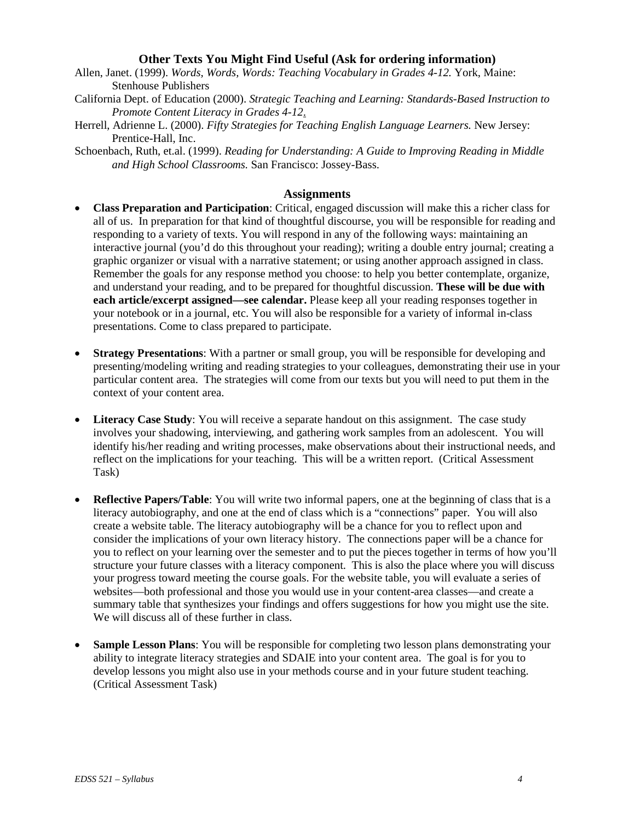#### **Other Texts You Might Find Useful (Ask for ordering information)**

- Allen, Janet. (1999). *Words, Words, Words: Teaching Vocabulary in Grades 4-12.* York, Maine: Stenhouse Publishers
- California Dept. of Education (2000). *Strategic Teaching and Learning: Standards-Based Instruction to Promote Content Literacy in Grades 4-12*.
- Herrell, Adrienne L. (2000). *Fifty Strategies for Teaching English Language Learners.* New Jersey: Prentice-Hall, Inc.
- Schoenbach, Ruth, et.al. (1999). *Reading for Understanding: A Guide to Improving Reading in Middle and High School Classrooms.* San Francisco: Jossey-Bass.

#### **Assignments**

- **Class Preparation and Participation**: Critical, engaged discussion will make this a richer class for all of us. In preparation for that kind of thoughtful discourse, you will be responsible for reading and responding to a variety of texts. You will respond in any of the following ways: maintaining an interactive journal (you'd do this throughout your reading); writing a double entry journal; creating a graphic organizer or visual with a narrative statement; or using another approach assigned in class. Remember the goals for any response method you choose: to help you better contemplate, organize, and understand your reading, and to be prepared for thoughtful discussion. **These will be due with each article/excerpt assigned—see calendar.** Please keep all your reading responses together in your notebook or in a journal, etc. You will also be responsible for a variety of informal in-class presentations. Come to class prepared to participate.
- **Strategy Presentations**: With a partner or small group, you will be responsible for developing and presenting/modeling writing and reading strategies to your colleagues, demonstrating their use in your particular content area. The strategies will come from our texts but you will need to put them in the context of your content area.
- **Literacy Case Study:** You will receive a separate handout on this assignment. The case study involves your shadowing, interviewing, and gathering work samples from an adolescent. You will identify his/her reading and writing processes, make observations about their instructional needs, and reflect on the implications for your teaching. This will be a written report. (Critical Assessment Task)
- **Reflective Papers/Table**: You will write two informal papers, one at the beginning of class that is a literacy autobiography, and one at the end of class which is a "connections" paper. You will also create a website table. The literacy autobiography will be a chance for you to reflect upon and consider the implications of your own literacy history. The connections paper will be a chance for you to reflect on your learning over the semester and to put the pieces together in terms of how you'll structure your future classes with a literacy component. This is also the place where you will discuss your progress toward meeting the course goals. For the website table, you will evaluate a series of websites—both professional and those you would use in your content-area classes—and create a summary table that synthesizes your findings and offers suggestions for how you might use the site. We will discuss all of these further in class.
- **Sample Lesson Plans**: You will be responsible for completing two lesson plans demonstrating your ability to integrate literacy strategies and SDAIE into your content area. The goal is for you to develop lessons you might also use in your methods course and in your future student teaching. (Critical Assessment Task)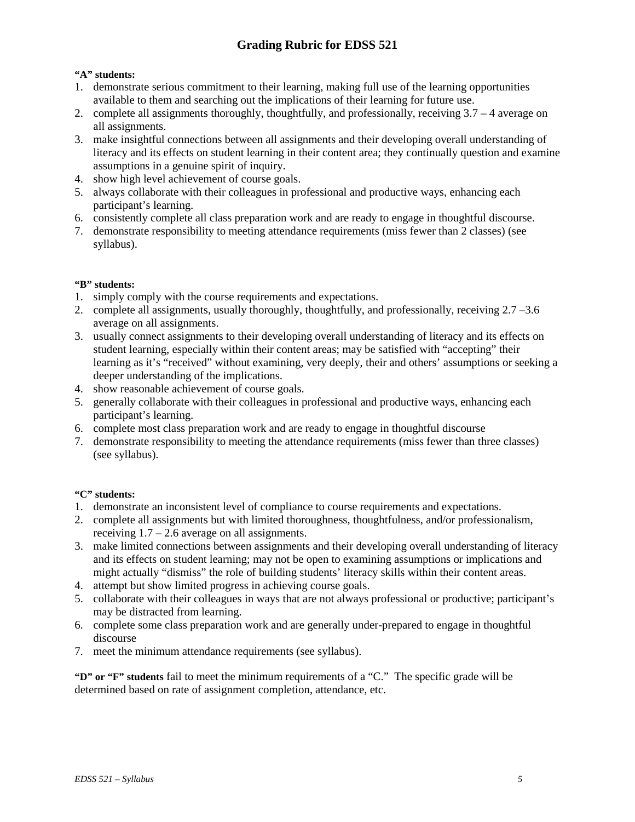# **Grading Rubric for EDSS 521**

#### **"A" students:**

- 1. demonstrate serious commitment to their learning, making full use of the learning opportunities available to them and searching out the implications of their learning for future use.
- 2. complete all assignments thoroughly, thoughtfully, and professionally, receiving 3.7 4 average on all assignments.
- 3. make insightful connections between all assignments and their developing overall understanding of literacy and its effects on student learning in their content area; they continually question and examine assumptions in a genuine spirit of inquiry.
- 4. show high level achievement of course goals.
- 5. always collaborate with their colleagues in professional and productive ways, enhancing each participant's learning.
- 6. consistently complete all class preparation work and are ready to engage in thoughtful discourse.
- 7. demonstrate responsibility to meeting attendance requirements (miss fewer than 2 classes) (see syllabus).

#### **"B" students:**

- 1. simply comply with the course requirements and expectations.
- 2. complete all assignments, usually thoroughly, thoughtfully, and professionally, receiving 2.7 –3.6 average on all assignments.
- 3. usually connect assignments to their developing overall understanding of literacy and its effects on student learning, especially within their content areas; may be satisfied with "accepting" their learning as it's "received" without examining, very deeply, their and others' assumptions or seeking a deeper understanding of the implications.
- 4. show reasonable achievement of course goals.
- 5. generally collaborate with their colleagues in professional and productive ways, enhancing each participant's learning.
- 6. complete most class preparation work and are ready to engage in thoughtful discourse
- 7. demonstrate responsibility to meeting the attendance requirements (miss fewer than three classes) (see syllabus).

#### **"C" students:**

- 1. demonstrate an inconsistent level of compliance to course requirements and expectations.
- 2. complete all assignments but with limited thoroughness, thoughtfulness, and/or professionalism, receiving  $1.7 - 2.6$  average on all assignments.
- 3. make limited connections between assignments and their developing overall understanding of literacy and its effects on student learning; may not be open to examining assumptions or implications and might actually "dismiss" the role of building students' literacy skills within their content areas.
- 4. attempt but show limited progress in achieving course goals.
- 5. collaborate with their colleagues in ways that are not always professional or productive; participant's may be distracted from learning.
- 6. complete some class preparation work and are generally under-prepared to engage in thoughtful discourse
- 7. meet the minimum attendance requirements (see syllabus).

**"D" or "F" students** fail to meet the minimum requirements of a "C." The specific grade will be determined based on rate of assignment completion, attendance, etc.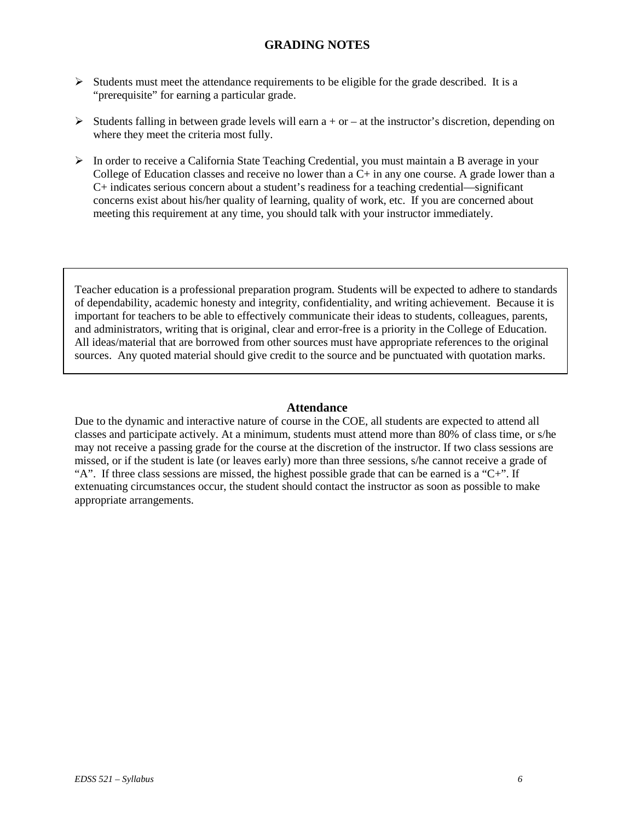## **GRADING NOTES**

- $\triangleright$  Students must meet the attendance requirements to be eligible for the grade described. It is a "prerequisite" for earning a particular grade.
- Students falling in between grade levels will earn  $a + or at$  the instructor's discretion, depending on where they meet the criteria most fully.
- $\triangleright$  In order to receive a California State Teaching Credential, you must maintain a B average in your College of Education classes and receive no lower than a C+ in any one course. A grade lower than a C+ indicates serious concern about a student's readiness for a teaching credential—significant concerns exist about his/her quality of learning, quality of work, etc. If you are concerned about meeting this requirement at any time, you should talk with your instructor immediately.

Teacher education is a professional preparation program. Students will be expected to adhere to standards of dependability, academic honesty and integrity, confidentiality, and writing achievement. Because it is important for teachers to be able to effectively communicate their ideas to students, colleagues, parents, and administrators, writing that is original, clear and error-free is a priority in the College of Education. All ideas/material that are borrowed from other sources must have appropriate references to the original sources. Any quoted material should give credit to the source and be punctuated with quotation marks.

#### **Attendance**

Due to the dynamic and interactive nature of course in the COE, all students are expected to attend all classes and participate actively. At a minimum, students must attend more than 80% of class time, or s/he may not receive a passing grade for the course at the discretion of the instructor. If two class sessions are missed, or if the student is late (or leaves early) more than three sessions, s/he cannot receive a grade of "A". If three class sessions are missed, the highest possible grade that can be earned is a "C+". If extenuating circumstances occur, the student should contact the instructor as soon as possible to make appropriate arrangements.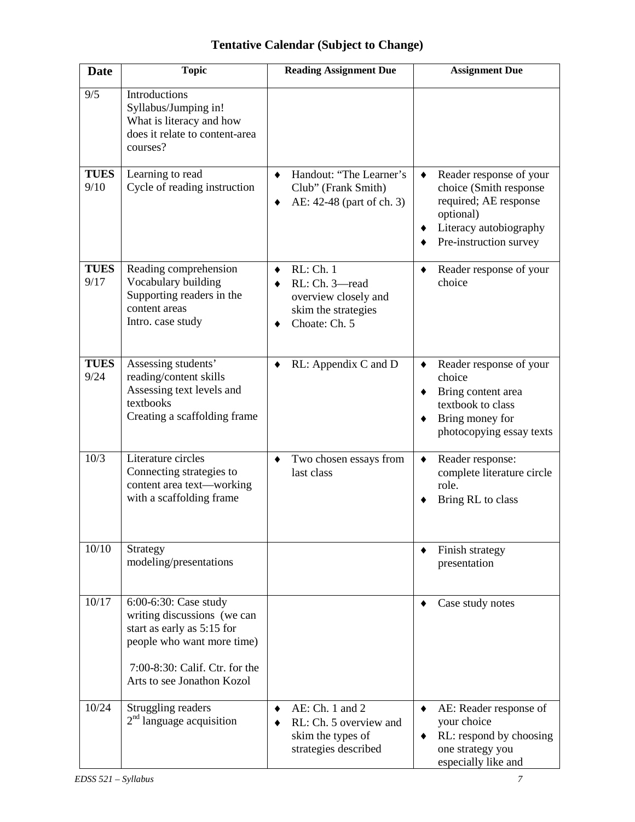| <b>Date</b>         | <b>Topic</b>                                                                                                                                                                     | <b>Reading Assignment Due</b>                                                               | <b>Assignment Due</b>                                                                                                                                         |  |  |
|---------------------|----------------------------------------------------------------------------------------------------------------------------------------------------------------------------------|---------------------------------------------------------------------------------------------|---------------------------------------------------------------------------------------------------------------------------------------------------------------|--|--|
| 9/5                 | Introductions<br>Syllabus/Jumping in!<br>What is literacy and how<br>does it relate to content-area<br>courses?                                                                  |                                                                                             |                                                                                                                                                               |  |  |
| <b>TUES</b><br>9/10 | Learning to read<br>Cycle of reading instruction                                                                                                                                 | Handout: "The Learner's<br>$\bullet$<br>Club" (Frank Smith)<br>AE: 42-48 (part of ch. 3)    | Reader response of your<br>$\bullet$<br>choice (Smith response<br>required; AE response<br>optional)<br>Literacy autobiography<br>٠<br>Pre-instruction survey |  |  |
| <b>TUES</b><br>9/17 | Reading comprehension<br>Vocabulary building<br>Supporting readers in the<br>content areas<br>Intro. case study                                                                  | RL: Ch. 1<br>RL: Ch. 3-read<br>overview closely and<br>skim the strategies<br>Choate: Ch. 5 | Reader response of your<br>choice                                                                                                                             |  |  |
| <b>TUES</b><br>9/24 | Assessing students'<br>reading/content skills<br>Assessing text levels and<br>textbooks<br>Creating a scaffolding frame                                                          | RL: Appendix C and D<br>٠                                                                   | Reader response of your<br>٠<br>choice<br>Bring content area<br>٠<br>textbook to class<br>Bring money for<br>photocopying essay texts                         |  |  |
| 10/3                | Literature circles<br>Connecting strategies to<br>content area text-working<br>with a scaffolding frame                                                                          | Two chosen essays from<br>٠<br>last class                                                   | Reader response:<br>٠<br>complete literature circle<br>role.<br>Bring RL to class                                                                             |  |  |
| 10/10               | Strategy<br>modeling/presentations                                                                                                                                               |                                                                                             | Finish strategy<br>presentation                                                                                                                               |  |  |
| 10/17               | 6:00-6:30: Case study<br>writing discussions (we can<br>start as early as 5:15 for<br>people who want more time)<br>7:00-8:30: Calif. Ctr. for the<br>Arts to see Jonathon Kozol |                                                                                             | Case study notes                                                                                                                                              |  |  |
| 10/24               | Struggling readers<br>$2nd$ language acquisition                                                                                                                                 | AE: Ch. 1 and 2<br>٠<br>RL: Ch. 5 overview and<br>skim the types of<br>strategies described | AE: Reader response of<br>٠<br>your choice<br>RL: respond by choosing<br>one strategy you<br>especially like and                                              |  |  |

# **Tentative Calendar (Subject to Change)**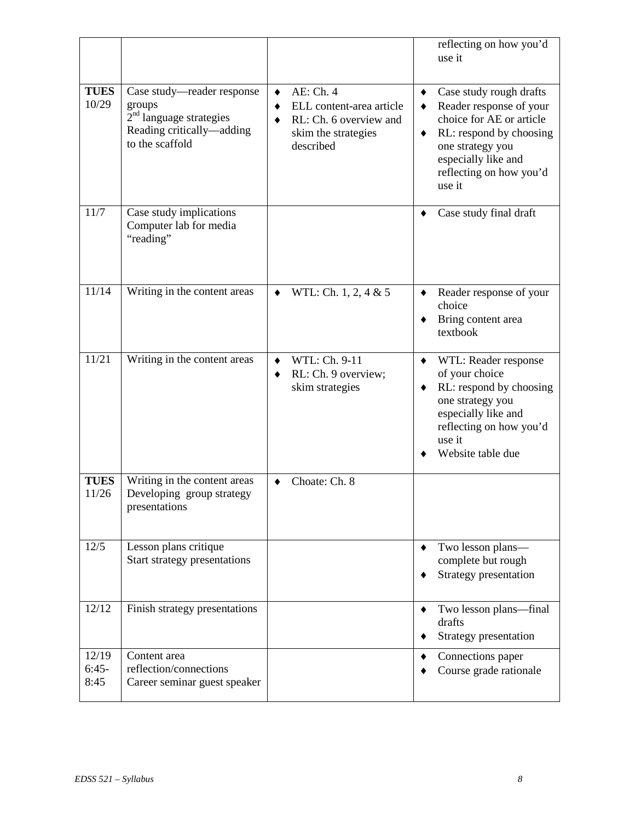|                          |                                                                                                                   |                                                                                                                  | reflecting on how you'd<br>use it                                                                                                                                                                   |  |  |
|--------------------------|-------------------------------------------------------------------------------------------------------------------|------------------------------------------------------------------------------------------------------------------|-----------------------------------------------------------------------------------------------------------------------------------------------------------------------------------------------------|--|--|
| <b>TUES</b><br>10/29     | Case study-reader response<br>groups<br>$2nd$ language strategies<br>Reading critically-adding<br>to the scaffold | AE: Ch. 4<br>$\bullet$<br>ELL content-area article<br>RL: Ch. 6 overview and<br>skim the strategies<br>described | Case study rough drafts<br>٠<br>Reader response of your<br>choice for AE or article<br>RL: respond by choosing<br>٠<br>one strategy you<br>especially like and<br>reflecting on how you'd<br>use it |  |  |
| 11/7                     | Case study implications<br>Computer lab for media<br>"reading"                                                    |                                                                                                                  | Case study final draft<br>٠                                                                                                                                                                         |  |  |
| 11/14                    | Writing in the content areas                                                                                      | WTL: Ch. 1, 2, 4 & 5<br>٠                                                                                        | Reader response of your<br>٠<br>choice<br>Bring content area<br>textbook                                                                                                                            |  |  |
| 11/21                    | Writing in the content areas                                                                                      | WTL: Ch. 9-11<br>٠<br>RL: Ch. 9 overview;<br>٠<br>skim strategies                                                | WTL: Reader response<br>٠<br>of your choice<br>RL: respond by choosing<br>one strategy you<br>especially like and<br>reflecting on how you'd<br>use it<br>Website table due                         |  |  |
| <b>TUES</b><br>11/26     | Writing in the content areas<br>Developing group strategy<br>presentations                                        | Choate: Ch. 8<br>٠                                                                                               |                                                                                                                                                                                                     |  |  |
| 12/5                     | Lesson plans critique<br>Start strategy presentations                                                             |                                                                                                                  | Two lesson plans-<br>complete but rough<br>Strategy presentation                                                                                                                                    |  |  |
| 12/12                    | Finish strategy presentations                                                                                     |                                                                                                                  | Two lesson plans—final<br>drafts<br>Strategy presentation                                                                                                                                           |  |  |
| 12/19<br>$6:45-$<br>8:45 | Content area<br>reflection/connections<br>Career seminar guest speaker                                            |                                                                                                                  | Connections paper<br>Course grade rationale                                                                                                                                                         |  |  |